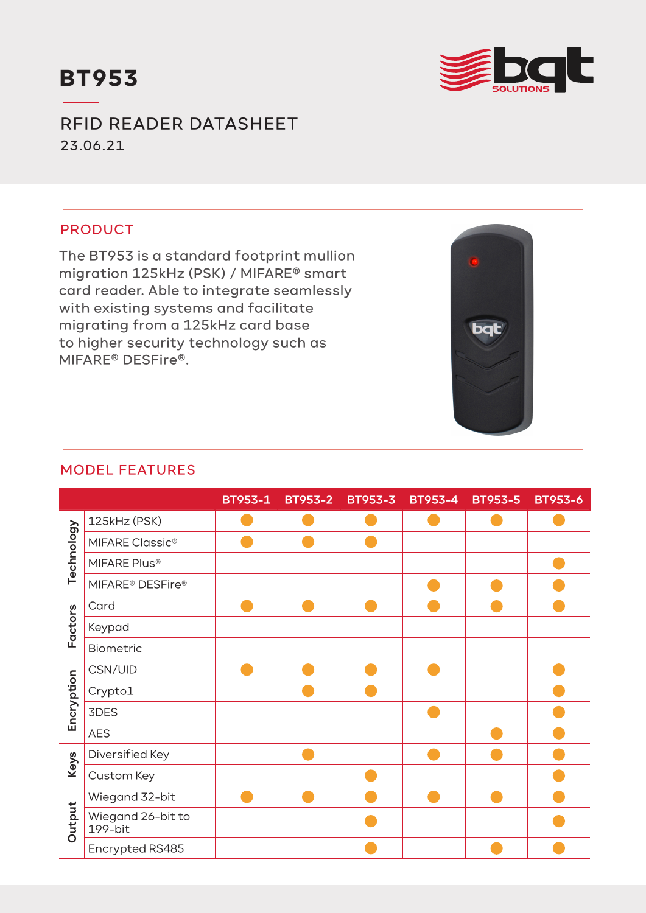



RFID READER DATASHEET 23.06.21

## PRODUCT

The BT953 is a standard footprint mullion migration 125kHz (PSK) / MIFARE® smart card reader. Able to integrate seamlessly with existing systems and facilitate migrating from a 125kHz card base to higher security technology such as MIFARE® DESFire®.



## MODEL FEATURES

|            |                                          | BT953-1 | <b>BT953-2</b> | <b>BT953-3</b> | <b>BT953-4</b> | <b>BT953-5</b> | <b>BT953-6</b> |
|------------|------------------------------------------|---------|----------------|----------------|----------------|----------------|----------------|
| Technology | 125kHz (PSK)                             |         |                |                |                |                |                |
|            | MIFARE Classic <sup>®</sup>              |         |                |                |                |                |                |
|            | MIFARE Plus®                             |         |                |                |                |                |                |
|            | MIFARE <sup>®</sup> DESFire <sup>®</sup> |         |                |                |                |                |                |
| Factors    | Card                                     |         |                |                |                |                |                |
|            | Keypad                                   |         |                |                |                |                |                |
|            | Biometric                                |         |                |                |                |                |                |
| Encryption | CSN/UID                                  |         |                |                |                |                |                |
|            | Crypto1                                  |         |                |                |                |                |                |
|            | 3DES                                     |         |                |                |                |                |                |
|            | <b>AES</b>                               |         |                |                |                |                |                |
| Keys       | Diversified Key                          |         |                |                |                |                |                |
|            | Custom Key                               |         |                |                |                |                |                |
| Output     | Wiegand 32-bit                           |         |                |                |                |                |                |
|            | Wiegand 26-bit to<br>199-bit             |         |                |                |                |                |                |
|            | Encrypted RS485                          |         |                |                |                |                |                |